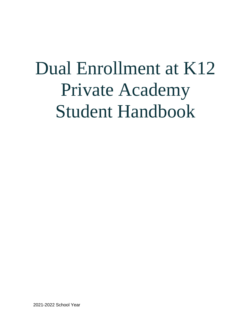# Dual Enrollment at K12 Private Academy Student Handbook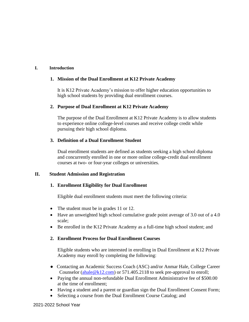#### **I. Introduction**

#### **1. Mission of the Dual Enrollment at K12 Private Academy**

It is K12 Private Academy's mission to offer higher education opportunities to high school students by providing dual enrollment courses.

#### **2. Purpose of Dual Enrollment at K12 Private Academy**

The purpose of the Dual Enrollment at K12 Private Academy is to allow students to experience online college-level courses and receive college credit while pursuing their high school diploma.

# **3. Definition of a Dual Enrollment Student**

Dual enrollment students are defined as students seeking a high school diploma and concurrently enrolled in one or more online college-credit dual enrollment courses at two- or four-year colleges or universities.

#### **II. Student Admission and Registration**

# **1. Enrollment Eligibility for Dual Enrollment**

Eligible dual enrollment students must meet the following criteria:

- The student must be in grades 11 or 12.
- Have an unweighted high school cumulative grade point average of 3.0 out of a 4.0 scale;
- Be enrolled in the K12 Private Academy as a full-time high school student; and

# **2. Enrollment Process for Dual Enrollment Courses**

Eligible students who are interested in enrolling in Dual Enrollment at K12 Private Academy may enroll by completing the following:

- Contacting an Academic Success Coach (ASC) and/or Anmar Hale, College Career Counselor [\(ahale@k12.com\)](mailto:ahale@k12.com) or 571.405.2118 to seek pre-approval to enroll;
- Paying the annual non-refundable Dual Enrollment Administrative fee of \$500.00 at the time of enrollment;
- Having a student and a parent or guardian sign the Dual Enrollment Consent Form;
- Selecting a course from the Dual Enrollment Course Catalog; and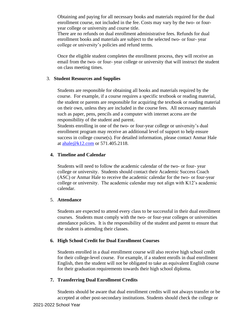Obtaining and paying for all necessary books and materials required for the dual enrollment course, not included in the fee. Costs may vary by the two- or fouryear college or university and course title.

There are no refunds on dual enrollment administrative fees. Refunds for dual enrollment books and materials are subject to the selected two- or four- year college or university's policies and refund terms.

Once the eligible student completes the enrollment process, they will receive an email from the two- or four- year college or university that will instruct the student on class meeting times.

#### 3. **Student Resources and Supplies**

Students are responsible for obtaining all books and materials required by the course. For example, if a course requires a specific textbook or reading material, the student or parents are responsible for acquiring the textbook or reading material on their own, unless they are included in the course fees. All necessary materials such as paper, pens, pencils and a computer with internet access are the responsibility of the student and parent.

Students enrolling in one of the two- or four-year college or university's dual enrollment program may receive an additional level of support to help ensure success in college course(s). For detailed information, please contact Anmar Hale at [ahale@k12.com](mailto:ahale@k12.com) or 571.405.2118.

#### **4. Timeline and Calendar**

Students will need to follow the academic calendar of the two- or four- year college or university. Students should contact their Academic Success Coach (ASC) or Anmar Hale to receive the academic calendar for the two- or four-year college or university. The academic calendar may not align with K12's academic calendar.

#### 5. **Attendance**

Students are expected to attend every class to be successful in their dual enrollment courses. Students must comply with the two- or four-year colleges or universities attendance policies. It is the responsibility of the student and parent to ensure that the student is attending their classes.

# **6. High School Credit for Dual Enrollment Courses**

Students enrolled in a dual enrollment course will also receive high school credit for their college-level course. For example, if a student enrolls in dual enrollment English, then the student will not be obligated to take an equivalent English course for their graduation requirements towards their high school diploma.

# **7. Transferring Dual Enrollment Credits**

Students should be aware that dual enrollment credits will not always transfer or be accepted at other post-secondary institutions. Students should check the college or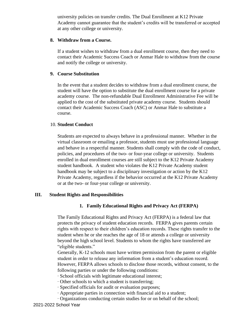university policies on transfer credits. The Dual Enrollment at K12 Private Academy cannot guarantee that the student's credits will be transferred or accepted at any other college or university.

#### **8. Withdraw from a Course.**

If a student wishes to withdraw from a dual enrollment course, then they need to contact their Academic Success Coach or Anmar Hale to withdraw from the course and notify the college or university.

# **9. Course Substitution**

In the event that a student decides to withdraw from a dual enrollment course, the student will have the option to substitute the dual enrollment course for a private academy course. The non-refundable Dual Enrollment Administrative Fee will be applied to the cost of the substituted private academy course. Students should contact their Academic Success Coach (ASC) or Anmar Hale to substitute a course.

#### 10. **Student Conduct**

Students are expected to always behave in a professional manner. Whether in the virtual classroom or emailing a professor, students must use professional language and behave in a respectful manner. Students shall comply with the code of conduct, policies, and procedures of the two- or four-year college or university. Students enrolled in dual enrollment courses are still subject to the K12 Private Academy student handbook. A student who violates the K12 Private Academy student handbook may be subject to a disciplinary investigation or action by the K12 Private Academy, regardless if the behavior occurred at the K12 Private Academy or at the two- or four-year college or university.

# **III. Student Rights and Responsibilities**

# **1. Family Educational Rights and Privacy Act (FERPA)**

The Family Educational Rights and Privacy Act (FERPA) is a federal law that protects the privacy of student education records. FERPA gives parents certain rights with respect to their children's education records. These rights transfer to the student when he or she reaches the age of 18 or attends a college or university beyond the high school level. Students to whom the rights have transferred are "eligible students."

Generally, K-12 schools must have written permission from the parent or eligible student in order to release any information from a student's education record. However, FERPA allows schools to disclose those records, without consent, to the following parties or under the following conditions:

- ∙ School officials with legitimate educational interest;
- ∙ Other schools to which a student is transferring;
- ∙ Specified officials for audit or evaluation purposes;
- ∙ Appropriate parties in connection with financial aid to a student;
- ∙ Organizations conducting certain studies for or on behalf of the school;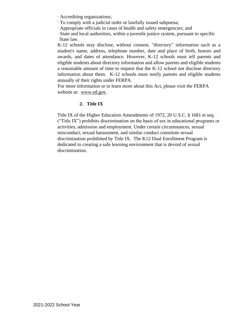- ∙ Accrediting organizations;
- ∙ To comply with a judicial order or lawfully issued subpoena;
- ∙ Appropriate officials in cases of health and safety emergencies; and
- ∙ State and local authorities, within a juvenile justice system, pursuant to specific State law.

K-12 schools may disclose, without consent, "directory" information such as a student's name, address, telephone number, date and place of birth, honors and awards, and dates of attendance. However, K-12 schools must tell parents and eligible students about directory information and allow parents and eligible students a reasonable amount of time to request that the K-12 school not disclose directory information about them. K-12 schools must notify parents and eligible students annually of their rights under FERPA.

For more information or to learn more about this Act, please visit the FERPA website at: www.ed.gov.

# **2. Title IX**

Title IX of the Higher Education Amendments of 1972, 20 U.S.C. § 1681 et seq. ("Title IX") prohibits discrimination on the basis of sex in educational programs or activities, admission and employment. Under certain circumstances, sexual misconduct, sexual harassment, and similar conduct constitute sexual discrimination prohibited by Title IX. The K12 Dual Enrollment Program is dedicated to creating a safe learning environment that is devoid of sexual discrimination.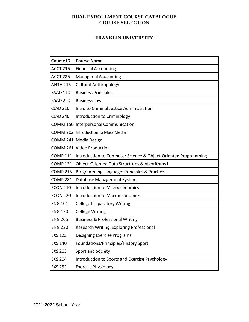# **DUAL ENROLLMENT COURSE CATALOGUE COURSE SELECTION**

#### **FRANKLIN UNIVERSITY**

| <b>Course ID</b> | <b>Course Name</b>                                             |
|------------------|----------------------------------------------------------------|
| <b>ACCT 215</b>  | <b>Financial Accounting</b>                                    |
| <b>ACCT 225</b>  | <b>Managerial Accounting</b>                                   |
| <b>ANTH 215</b>  | <b>Cultural Anthropology</b>                                   |
| <b>BSAD 110</b>  | <b>Business Principles</b>                                     |
| <b>BSAD 220</b>  | <b>Business Law</b>                                            |
| <b>CJAD 210</b>  | Intro to Criminal Justice Administration                       |
| <b>CJAD 240</b>  | Introduction to Criminology                                    |
|                  | COMM 150 Interpersonal Communication                           |
|                  | COMM 202 Introduction to Mass Media                            |
|                  | COMM 241   Media Design                                        |
|                  | COMM 261 Video Production                                      |
| <b>COMP 111</b>  | Introduction to Computer Science & Object-Oriented Programming |
| <b>COMP 121</b>  | Object-Oriented Data Structures & Algorithms I                 |
| <b>COMP 215</b>  | Programming Language: Principles & Practice                    |
| <b>COMP 281</b>  | Database Management Systems                                    |
| <b>ECON 210</b>  | <b>Introduction to Microeconomics</b>                          |
| <b>ECON 220</b>  | <b>Introduction to Macroeconomics</b>                          |
| <b>ENG 101</b>   | <b>College Preparatory Writing</b>                             |
| <b>ENG 120</b>   | <b>College Writing</b>                                         |
| <b>ENG 205</b>   | <b>Business &amp; Professional Writing</b>                     |
| <b>ENG 220</b>   | Research Writing: Exploring Professional                       |
| <b>EXS 125</b>   | Designing Exercise Programs                                    |
| <b>EXS 140</b>   | Foundations/Principles/History Sport                           |
| <b>EXS 203</b>   | Sport and Society                                              |
| <b>EXS 204</b>   | Introduction to Sports and Exercise Psychology                 |
| <b>EXS 252</b>   | <b>Exercise Physiology</b>                                     |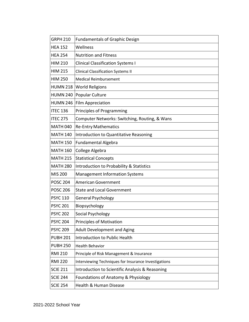| <b>GRPH 210</b> | <b>Fundamentals of Graphic Design</b>                |
|-----------------|------------------------------------------------------|
| <b>HEA 152</b>  | Wellness                                             |
| <b>HEA 254</b>  | <b>Nutrition and Fitness</b>                         |
| <b>HIM 210</b>  | <b>Clinical Classification Systems I</b>             |
| <b>HIM 215</b>  | <b>Clinical Classification Systems II</b>            |
| <b>HIM 250</b>  | <b>Medical Reimbursement</b>                         |
|                 | HUMN 218   World Religions                           |
| <b>HUMN 240</b> | Popular Culture                                      |
|                 | HUMN 246   Film Appreciation                         |
| <b>ITEC 136</b> | Principles of Programming                            |
| <b>ITEC 275</b> | Computer Networks: Switching, Routing, & Wans        |
| <b>MATH 040</b> | <b>Re-Entry Mathematics</b>                          |
| <b>MATH 140</b> | Introduction to Quantitative Reasoning               |
| <b>MATH 150</b> | <b>Fundamental Algebra</b>                           |
| <b>MATH 160</b> | College Algebra                                      |
| <b>MATH 215</b> | <b>Statistical Concepts</b>                          |
| <b>MATH 280</b> | Introduction to Probability & Statistics             |
| MIS 200         | <b>Management Information Systems</b>                |
| <b>POSC 204</b> | <b>American Government</b>                           |
| <b>POSC 206</b> | <b>State and Local Government</b>                    |
| <b>PSYC 110</b> | General Psychology                                   |
| <b>PSYC 201</b> | Biopsychology                                        |
| <b>PSYC 202</b> | Social Psychology                                    |
| <b>PSYC 204</b> | Principles of Motivation                             |
| <b>PSYC 209</b> | <b>Adult Development and Aging</b>                   |
| <b>PUBH 201</b> | Introduction to Public Health                        |
| <b>PUBH 250</b> | <b>Health Behavior</b>                               |
| <b>RMI 210</b>  | Principle of Risk Management & Insurance             |
| <b>RMI 220</b>  | Interviewing Techniques for Insurance Investigations |
| <b>SCIE 211</b> | Introduction to Scientific Analysis & Reasoning      |
| <b>SCIE 244</b> | Foundations of Anatomy & Physiology                  |
| <b>SCIE 254</b> | Health & Human Disease                               |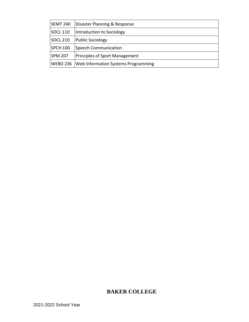| <b>SEMT 240</b> | Disaster Planning & Response               |
|-----------------|--------------------------------------------|
| <b>SOCL 110</b> | Introduction to Sociology                  |
| <b>SOCL 210</b> | <b>Public Sociology</b>                    |
| <b>SPCH 100</b> | <b>Speech Communication</b>                |
| <b>SPM 207</b>  | <b>Principles of Sport Management</b>      |
| WEBD 236        | <b>Web Information Systems Programming</b> |

# **BAKER COLLEGE**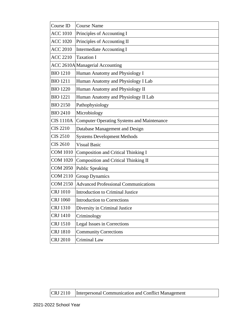| Course ID        | <b>Course Name</b>                          |
|------------------|---------------------------------------------|
| <b>ACC 1010</b>  | Principles of Accounting I                  |
| <b>ACC 1020</b>  | Principles of Accounting II                 |
| <b>ACC 2010</b>  | <b>Intermediate Accounting I</b>            |
| <b>ACC 2210</b>  | <b>Taxation I</b>                           |
|                  | <b>ACC 2610A</b> Managerial Accounting      |
| <b>BIO 1210</b>  | Human Anatomy and Physiology I              |
| <b>BIO 1211</b>  | Human Anatomy and Physiology I Lab          |
| <b>BIO 1220</b>  | Human Anatomy and Physiology II             |
| <b>BIO 1221</b>  | Human Anatomy and Physiology II Lab         |
| <b>BIO 2150</b>  | Pathophysiology                             |
| <b>BIO 2410</b>  | Microbiology                                |
| <b>CIS 1110A</b> | Computer Operating Systems and Maintenance  |
| <b>CIS 2210</b>  | Database Management and Design              |
| <b>CIS 2510</b>  | <b>Systems Development Methods</b>          |
| <b>CIS 2610</b>  | <b>Visual Basic</b>                         |
| <b>COM 1010</b>  | Composition and Critical Thinking I         |
| <b>COM 1020</b>  | Composition and Critical Thinking II        |
| <b>COM 2050</b>  | <b>Public Speaking</b>                      |
| <b>COM 2110</b>  | <b>Group Dynamics</b>                       |
| <b>COM 2150</b>  | <b>Advanced Professional Communications</b> |
| <b>CRJ</b> 1010  | <b>Introduction to Criminal Justice</b>     |
| <b>CRJ</b> 1060  | <b>Introduction to Corrections</b>          |
| <b>CRJ 1310</b>  | Diversity in Criminal Justice               |
| <b>CRJ 1410</b>  | Criminology                                 |
| <b>CRJ</b> 1510  | Legal Issues in Corrections                 |
| <b>CRJ 1810</b>  | <b>Community Corrections</b>                |
| <b>CRJ 2010</b>  | Criminal Law                                |

# CRJ 2110 |Interpersonal Communication and Conflict Management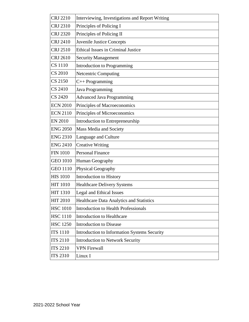| <b>CRJ 2210</b> | Interviewing, Investigations and Report Writing |
|-----------------|-------------------------------------------------|
| <b>CRJ 2310</b> | Principles of Policing I                        |
| <b>CRJ 2320</b> | Principles of Policing II                       |
| <b>CRJ 2410</b> | <b>Juvenile Justice Concepts</b>                |
| <b>CRJ 2510</b> | <b>Ethical Issues in Criminal Justice</b>       |
| <b>CRJ 2610</b> | <b>Security Management</b>                      |
| <b>CS</b> 1110  | <b>Introduction to Programming</b>              |
| <b>CS 2010</b>  | <b>Netcentric Computing</b>                     |
| <b>CS 2150</b>  | C++ Programming                                 |
| <b>CS 2410</b>  | Java Programming                                |
| <b>CS 2420</b>  | <b>Advanced Java Programming</b>                |
| <b>ECN 2010</b> | Principles of Macroeconomics                    |
| <b>ECN 2110</b> | Principles of Microeconomics                    |
| <b>EN 2010</b>  | Introduction to Entrepreneurship                |
| <b>ENG 2050</b> | Mass Media and Society                          |
| <b>ENG 2310</b> | Language and Culture                            |
| <b>ENG 2410</b> | <b>Creative Writing</b>                         |
| <b>FIN 1010</b> | <b>Personal Finance</b>                         |
| <b>GEO 1010</b> | Human Geography                                 |
| <b>GEO 1110</b> | Physical Geography                              |
| <b>HIS 1010</b> | <b>Introduction to History</b>                  |
| <b>HIT 1010</b> | <b>Healthcare Delivery Systems</b>              |
| <b>HIT 1310</b> | Legal and Ethical Issues                        |
| <b>HIT 2010</b> | Healthcare Data Analytics and Statistics        |
| <b>HSC 1010</b> | <b>Introduction to Health Professionals</b>     |
| <b>HSC 1110</b> | <b>Introduction to Healthcare</b>               |
| <b>HSC 1250</b> | <b>Introduction to Disease</b>                  |
| <b>ITS 1110</b> | Introduction to Information Systems Security    |
| <b>ITS 2110</b> | <b>Introduction to Network Security</b>         |
| <b>ITS 2210</b> | <b>VPN Firewall</b>                             |
| <b>ITS 2310</b> | Linux I                                         |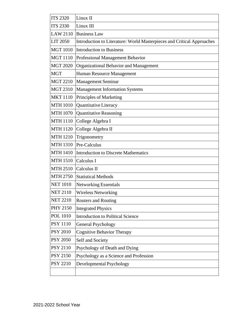| <b>ITS 2320</b> | Linux II                                                               |
|-----------------|------------------------------------------------------------------------|
| <b>ITS 2330</b> | Linux III                                                              |
| LAW 2110        | <b>Business Law</b>                                                    |
| <b>LIT 2050</b> | Introduction to Literature: World Masterpieces and Critical Approaches |
| <b>MGT 1010</b> | <b>Introduction to Business</b>                                        |
| <b>MGT 1110</b> | Professional Management Behavior                                       |
| <b>MGT 2020</b> | Organizational Behavior and Management                                 |
| <b>MGT</b>      | Human Resource Management                                              |
| <b>MGT 2210</b> | <b>Management Seminar</b>                                              |
| <b>MGT 2310</b> | <b>Management Information Systems</b>                                  |
| <b>MKT1110</b>  | Principles of Marketing                                                |
| <b>MTH 1010</b> | Quantitative Literacy                                                  |
| <b>MTH 1070</b> | <b>Quantitative Reasoning</b>                                          |
| <b>MTH 1110</b> | College Algebra I                                                      |
| <b>MTH 1120</b> | College Algebra II                                                     |
| <b>MTH 1210</b> | Trigonometry                                                           |
| <b>MTH 1310</b> | Pre-Calculus                                                           |
| <b>MTH 1410</b> | Introduction to Discrete Mathematics                                   |
| <b>MTH 1510</b> | Calculus I                                                             |
| <b>MTH 2510</b> | Calculus II                                                            |
| <b>MTH 2750</b> | <b>Statistical Methods</b>                                             |
| <b>NET 1010</b> | <b>Networking Essentials</b>                                           |
| <b>NET 2110</b> | <b>Wireless Networking</b>                                             |
| <b>NET 2210</b> | <b>Routers and Routing</b>                                             |
| <b>PHY 2150</b> | <b>Integrated Physics</b>                                              |
| <b>POL 1010</b> | <b>Introduction to Political Science</b>                               |
| <b>PSY 1110</b> | <b>General Psychology</b>                                              |
| <b>PSY 2010</b> | <b>Cognitive Behavior Therapy</b>                                      |
| <b>PSY 2050</b> | Self and Society                                                       |
| <b>PSY 2110</b> | Psychology of Death and Dying                                          |
| <b>PSY 2150</b> | Psychology as a Science and Profession                                 |
| <b>PSY 2210</b> | Developmental Psychology                                               |
|                 |                                                                        |